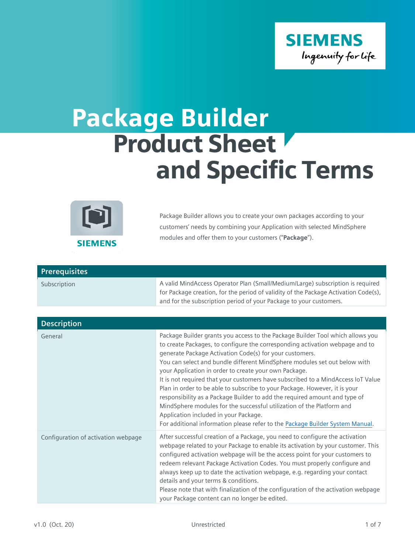

## Package Builder Product Sheet and Specific Terms



Package Builder allows you to create your own packages according to your customers' needs by combining your Application with selected MindSphere modules and offer them to your customers ("**Package**").

| <b>Prerequisites</b> |                                                                                     |
|----------------------|-------------------------------------------------------------------------------------|
| Subscription         | A valid MindAccess Operator Plan (Small/Medium/Large) subscription is required      |
|                      | for Package creation, for the period of validity of the Package Activation Code(s), |
|                      | and for the subscription period of your Package to your customers.                  |

| <b>Description</b>                  |                                                                                                                                                                                                                                                                                                                                                                                                                                                                                                                                                                                                                                                                                                                                                                                                                    |
|-------------------------------------|--------------------------------------------------------------------------------------------------------------------------------------------------------------------------------------------------------------------------------------------------------------------------------------------------------------------------------------------------------------------------------------------------------------------------------------------------------------------------------------------------------------------------------------------------------------------------------------------------------------------------------------------------------------------------------------------------------------------------------------------------------------------------------------------------------------------|
| General                             | Package Builder grants you access to the Package Builder Tool which allows you<br>to create Packages, to configure the corresponding activation webpage and to<br>generate Package Activation Code(s) for your customers.<br>You can select and bundle different MindSphere modules set out below with<br>your Application in order to create your own Package.<br>It is not required that your customers have subscribed to a MindAccess IoT Value<br>Plan in order to be able to subscribe to your Package. However, it is your<br>responsibility as a Package Builder to add the required amount and type of<br>MindSphere modules for the successful utilization of the Platform and<br>Application included in your Package.<br>For additional information please refer to the Package Builder System Manual. |
| Configuration of activation webpage | After successful creation of a Package, you need to configure the activation<br>webpage related to your Package to enable its activation by your customer. This<br>configured activation webpage will be the access point for your customers to<br>redeem relevant Package Activation Codes. You must properly configure and<br>always keep up to date the activation webpage, e.g. regarding your contact<br>details and your terms & conditions.<br>Please note that with finalization of the configuration of the activation webpage<br>your Package content can no longer be edited.                                                                                                                                                                                                                           |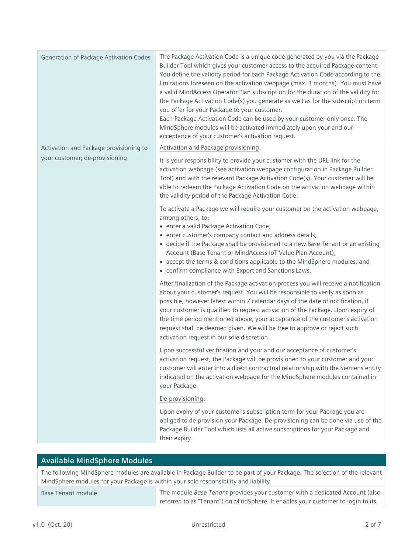| Generation of Package Activation Codes | The Package Activation Code is a unique code generated by you via the Package<br>Builder Tool which gives your customer access to the acquired Package content.<br>You define the validity period for each Package Activation Code according to the<br>limitations foreseen on the activation webpage (max. 3 months). You must have<br>a valid MindAccess Operator Plan subscription for the duration of the validity for<br>the Package Activation Code(s) you generate as well as for the subscription term<br>you offer for your Package to your customer.<br>Each Package Activation Code can be used by your customer only once. The<br>MindSphere modules will be activated immediately upon your and our<br>acceptance of your customer's activation request. |
|----------------------------------------|-----------------------------------------------------------------------------------------------------------------------------------------------------------------------------------------------------------------------------------------------------------------------------------------------------------------------------------------------------------------------------------------------------------------------------------------------------------------------------------------------------------------------------------------------------------------------------------------------------------------------------------------------------------------------------------------------------------------------------------------------------------------------|
| Activation and Package provisioning to | Activation and Package provisioning:                                                                                                                                                                                                                                                                                                                                                                                                                                                                                                                                                                                                                                                                                                                                  |
| your customer; de-provisioning         | It is your responsibility to provide your customer with the URL link for the<br>activation webpage (see activation webpage configuration in Package Builder<br>Tool) and with the relevant Package Activation Code(s). Your customer will be<br>able to redeem the Package Activation Code on the activation webpage within<br>the validity period of the Package Activation Code.                                                                                                                                                                                                                                                                                                                                                                                    |
|                                        | To activate a Package we will require your customer on the activation webpage,<br>among others, to:<br>· enter a valid Package Activation Code,<br>• enter customer's company contact and address details,<br>• decide if the Package shall be provisioned to a new Base Tenant or an existing<br>Account (Base Tenant or MindAccess IoT Value Plan Account),<br>• accept the terms & conditions applicable to the MindSphere modules, and<br>• confirm compliance with Export and Sanctions Laws.                                                                                                                                                                                                                                                                    |
|                                        | After finalization of the Package activation process you will receive a notification<br>about your customer's request. You will be responsible to verify as soon as<br>possible, however latest within 7 calendar days of the date of notification, if<br>your customer is qualified to request activation of the Package. Upon expiry of<br>the time period mentioned above, your acceptance of the customer's activation<br>request shall be deemed given. We will be free to approve or reject such<br>activation request in our sole discretion.                                                                                                                                                                                                                  |
|                                        | Upon successful verification and your and our acceptance of customer's<br>activation request, the Package will be provisioned to your customer and your<br>customer will enter into a direct contractual relationship with the Siemens entity<br>indicated on the activation webpage for the MindSphere modules contained in<br>your Package.                                                                                                                                                                                                                                                                                                                                                                                                                         |
|                                        | De-provisioning:                                                                                                                                                                                                                                                                                                                                                                                                                                                                                                                                                                                                                                                                                                                                                      |
|                                        | Upon expiry of your customer's subscription term for your Package you are<br>obliged to de-provision your Package. De-provisioning can be done via use of the<br>Package Builder Tool which lists all active subscriptions for your Package and<br>their expiry.                                                                                                                                                                                                                                                                                                                                                                                                                                                                                                      |

## **Available MindSphere Modules**

The following MindSphere modules are available in Package Builder to be part of your Package. The selection of the relevant MindSphere modules for your Package is within your sole responsibility and liability.

Base Tenant module The module *Base Tenant* provides your customer with a dedicated Account (also referred to as "Tenant") on MindSphere. It enables your customer to login to its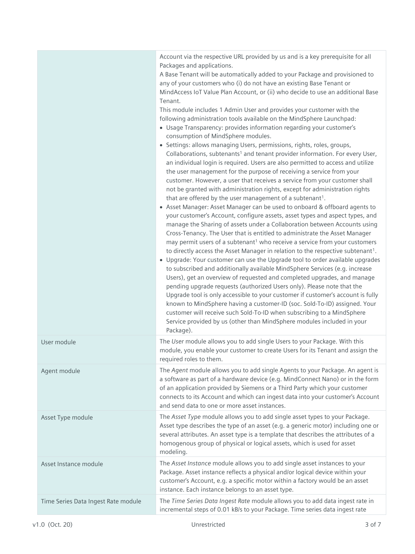|                                     | Account via the respective URL provided by us and is a key prerequisite for all<br>Packages and applications.<br>A Base Tenant will be automatically added to your Package and provisioned to<br>any of your customers who (i) do not have an existing Base Tenant or<br>MindAccess IoT Value Plan Account, or (ii) who decide to use an additional Base<br>Tenant.<br>This module includes 1 Admin User and provides your customer with the<br>following administration tools available on the MindSphere Launchpad:<br>• Usage Transparency: provides information regarding your customer's<br>consumption of MindSphere modules.<br>• Settings: allows managing Users, permissions, rights, roles, groups,<br>Collaborations, subtenants <sup>1</sup> and tenant provider information. For every User,<br>an individual login is required. Users are also permitted to access and utilize<br>the user management for the purpose of receiving a service from your<br>customer. However, a user that receives a service from your customer shall<br>not be granted with administration rights, except for administration rights<br>that are offered by the user management of a subtenant <sup>1</sup> .<br>• Asset Manager: Asset Manager can be used to onboard & offboard agents to<br>your customer's Account, configure assets, asset types and aspect types, and<br>manage the Sharing of assets under a Collaboration between Accounts using<br>Cross-Tenancy. The User that is entitled to administrate the Asset Manager<br>may permit users of a subtenant <sup>1</sup> who receive a service from your customers<br>to directly access the Asset Manager in relation to the respective subtenant <sup>1</sup> .<br>• Upgrade: Your customer can use the Upgrade tool to order available upgrades<br>to subscribed and additionally available MindSphere Services (e.g. increase<br>Users), get an overview of requested and completed upgrades, and manage<br>pending upgrade requests (authorized Users only). Please note that the<br>Upgrade tool is only accessible to your customer if customer's account is fully<br>known to MindSphere having a customer-ID (soc. Sold-To-ID) assigned. Your<br>customer will receive such Sold-To-ID when subscribing to a MindSphere<br>Service provided by us (other than MindSphere modules included in your<br>Package). |
|-------------------------------------|------------------------------------------------------------------------------------------------------------------------------------------------------------------------------------------------------------------------------------------------------------------------------------------------------------------------------------------------------------------------------------------------------------------------------------------------------------------------------------------------------------------------------------------------------------------------------------------------------------------------------------------------------------------------------------------------------------------------------------------------------------------------------------------------------------------------------------------------------------------------------------------------------------------------------------------------------------------------------------------------------------------------------------------------------------------------------------------------------------------------------------------------------------------------------------------------------------------------------------------------------------------------------------------------------------------------------------------------------------------------------------------------------------------------------------------------------------------------------------------------------------------------------------------------------------------------------------------------------------------------------------------------------------------------------------------------------------------------------------------------------------------------------------------------------------------------------------------------------------------------------------------------------------------------------------------------------------------------------------------------------------------------------------------------------------------------------------------------------------------------------------------------------------------------------------------------------------------------------------------------------------------------------------------------------------------------------------------------------------------------------------|
| User module                         | The User module allows you to add single Users to your Package. With this<br>module, you enable your customer to create Users for its Tenant and assign the<br>required roles to them.                                                                                                                                                                                                                                                                                                                                                                                                                                                                                                                                                                                                                                                                                                                                                                                                                                                                                                                                                                                                                                                                                                                                                                                                                                                                                                                                                                                                                                                                                                                                                                                                                                                                                                                                                                                                                                                                                                                                                                                                                                                                                                                                                                                             |
| Agent module                        | The Agent module allows you to add single Agents to your Package. An agent is<br>a software as part of a hardware device (e.g. MindConnect Nano) or in the form<br>of an application provided by Siemens or a Third Party which your customer<br>connects to its Account and which can ingest data into your customer's Account<br>and send data to one or more asset instances.                                                                                                                                                                                                                                                                                                                                                                                                                                                                                                                                                                                                                                                                                                                                                                                                                                                                                                                                                                                                                                                                                                                                                                                                                                                                                                                                                                                                                                                                                                                                                                                                                                                                                                                                                                                                                                                                                                                                                                                                   |
| Asset Type module                   | The Asset Type module allows you to add single asset types to your Package.<br>Asset type describes the type of an asset (e.g. a generic motor) including one or<br>several attributes. An asset type is a template that describes the attributes of a<br>homogenous group of physical or logical assets, which is used for asset<br>modeling.                                                                                                                                                                                                                                                                                                                                                                                                                                                                                                                                                                                                                                                                                                                                                                                                                                                                                                                                                                                                                                                                                                                                                                                                                                                                                                                                                                                                                                                                                                                                                                                                                                                                                                                                                                                                                                                                                                                                                                                                                                     |
| Asset Instance module               | The Asset Instance module allows you to add single asset instances to your<br>Package. Asset instance reflects a physical and/or logical device within your<br>customer's Account, e.g. a specific motor within a factory would be an asset<br>instance. Each instance belongs to an asset type.                                                                                                                                                                                                                                                                                                                                                                                                                                                                                                                                                                                                                                                                                                                                                                                                                                                                                                                                                                                                                                                                                                                                                                                                                                                                                                                                                                                                                                                                                                                                                                                                                                                                                                                                                                                                                                                                                                                                                                                                                                                                                   |
| Time Series Data Ingest Rate module | The Time Series Data Ingest Rate module allows you to add data ingest rate in<br>incremental steps of 0.01 kB/s to your Package. Time series data ingest rate                                                                                                                                                                                                                                                                                                                                                                                                                                                                                                                                                                                                                                                                                                                                                                                                                                                                                                                                                                                                                                                                                                                                                                                                                                                                                                                                                                                                                                                                                                                                                                                                                                                                                                                                                                                                                                                                                                                                                                                                                                                                                                                                                                                                                      |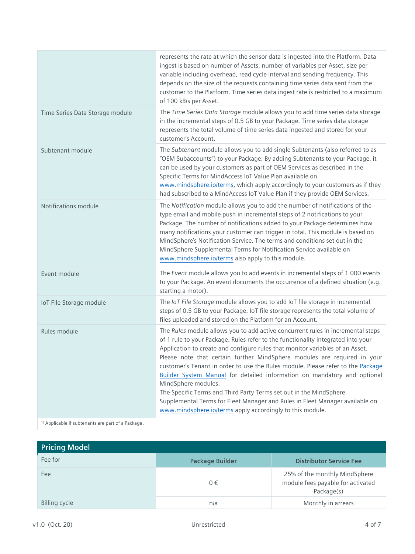|                                                               | represents the rate at which the sensor data is ingested into the Platform. Data<br>ingest is based on number of Assets, number of variables per Asset, size per<br>variable including overhead, read cycle interval and sending frequency. This<br>depends on the size of the requests containing time series data sent from the<br>customer to the Platform. Time series data ingest rate is restricted to a maximum<br>of 100 kB/s per Asset.                                                                                                                                                                                                                                                                                          |
|---------------------------------------------------------------|-------------------------------------------------------------------------------------------------------------------------------------------------------------------------------------------------------------------------------------------------------------------------------------------------------------------------------------------------------------------------------------------------------------------------------------------------------------------------------------------------------------------------------------------------------------------------------------------------------------------------------------------------------------------------------------------------------------------------------------------|
| Time Series Data Storage module                               | The Time Series Data Storage module allows you to add time series data storage<br>in the incremental steps of 0.5 GB to your Package. Time series data storage<br>represents the total volume of time series data ingested and stored for your<br>customer's Account.                                                                                                                                                                                                                                                                                                                                                                                                                                                                     |
| Subtenant module                                              | The Subtenant module allows you to add single Subtenants (also referred to as<br>"OEM Subaccounts") to your Package. By adding Subtenants to your Package, it<br>can be used by your customers as part of OEM Services as described in the<br>Specific Terms for MindAccess IoT Value Plan available on<br>www.mindsphere.io/terms, which apply accordingly to your customers as if they<br>had subscribed to a MindAccess IoT Value Plan if they provide OEM Services.                                                                                                                                                                                                                                                                   |
| Notifications module                                          | The Notification module allows you to add the number of notifications of the<br>type email and mobile push in incremental steps of 2 notifications to your<br>Package. The number of notifications added to your Package determines how<br>many notifications your customer can trigger in total. This module is based on<br>MindSphere's Notification Service. The terms and conditions set out in the<br>MindSphere Supplemental Terms for Notification Service available on<br>www.mindsphere.io/terms also apply to this module.                                                                                                                                                                                                      |
| Event module                                                  | The Event module allows you to add events in incremental steps of 1 000 events<br>to your Package. An event documents the occurrence of a defined situation (e.g.<br>starting a motor).                                                                                                                                                                                                                                                                                                                                                                                                                                                                                                                                                   |
| IoT File Storage module                                       | The IoT File Storage module allows you to add IoT file storage in incremental<br>steps of 0.5 GB to your Package. IoT file storage represents the total volume of<br>files uploaded and stored on the Platform for an Account.                                                                                                                                                                                                                                                                                                                                                                                                                                                                                                            |
| Rules module                                                  | The Rules module allows you to add active concurrent rules in incremental steps<br>of 1 rule to your Package. Rules refer to the functionality integrated into your<br>Application to create and configure rules that monitor variables of an Asset.<br>Please note that certain further MindSphere modules are required in your<br>customer's Tenant in order to use the Rules module. Please refer to the Package<br>Builder System Manual for detailed information on mandatory and optional<br>MindSphere modules.<br>The Specific Terms and Third Party Terms set out in the MindSphere<br>Supplemental Terms for Fleet Manager and Rules in Fleet Manager available on<br>www.mindsphere.io/terms apply accordingly to this module. |
| <sup>1)</sup> Applicable if subtenants are part of a Package. |                                                                                                                                                                                                                                                                                                                                                                                                                                                                                                                                                                                                                                                                                                                                           |

| <b>Pricing Model</b> |                        |                                                                                  |
|----------------------|------------------------|----------------------------------------------------------------------------------|
| Fee for              | <b>Package Builder</b> | <b>Distributor Service Fee</b>                                                   |
| Fee                  | $0 \in$                | 25% of the monthly MindSphere<br>module fees payable for activated<br>Package(s) |
| <b>Billing cycle</b> | n/a                    | Monthly in arrears                                                               |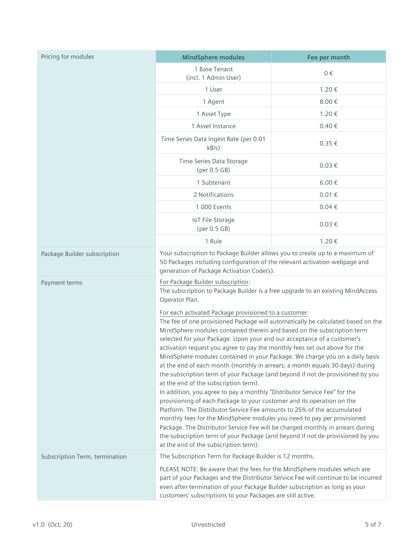| Pricing for modules            | <b>MindSphere modules</b>                                                                                                                                                                                                                                                                                                                                                                                                                                                                                                                                                                                                                                                                                                                                                                                                                                                                                                                                                                                                                                                                                                                                                                          | Fee per month |
|--------------------------------|----------------------------------------------------------------------------------------------------------------------------------------------------------------------------------------------------------------------------------------------------------------------------------------------------------------------------------------------------------------------------------------------------------------------------------------------------------------------------------------------------------------------------------------------------------------------------------------------------------------------------------------------------------------------------------------------------------------------------------------------------------------------------------------------------------------------------------------------------------------------------------------------------------------------------------------------------------------------------------------------------------------------------------------------------------------------------------------------------------------------------------------------------------------------------------------------------|---------------|
|                                | 1 Base Tenant<br>(incl. 1 Admin User)                                                                                                                                                                                                                                                                                                                                                                                                                                                                                                                                                                                                                                                                                                                                                                                                                                                                                                                                                                                                                                                                                                                                                              | $0 \in$       |
|                                | 1 User                                                                                                                                                                                                                                                                                                                                                                                                                                                                                                                                                                                                                                                                                                                                                                                                                                                                                                                                                                                                                                                                                                                                                                                             | 1.20€         |
|                                | 1 Agent                                                                                                                                                                                                                                                                                                                                                                                                                                                                                                                                                                                                                                                                                                                                                                                                                                                                                                                                                                                                                                                                                                                                                                                            | 8.00€         |
|                                | 1 Asset Type                                                                                                                                                                                                                                                                                                                                                                                                                                                                                                                                                                                                                                                                                                                                                                                                                                                                                                                                                                                                                                                                                                                                                                                       | 1.20€         |
|                                | 1 Asset Instance                                                                                                                                                                                                                                                                                                                                                                                                                                                                                                                                                                                                                                                                                                                                                                                                                                                                                                                                                                                                                                                                                                                                                                                   | $0.40 \in$    |
|                                | Time Series Data Ingest Rate (per 0.01<br>kB/s)                                                                                                                                                                                                                                                                                                                                                                                                                                                                                                                                                                                                                                                                                                                                                                                                                                                                                                                                                                                                                                                                                                                                                    | $0.35 \in$    |
|                                | Time Series Data Storage<br>(per 0.5 GB)                                                                                                                                                                                                                                                                                                                                                                                                                                                                                                                                                                                                                                                                                                                                                                                                                                                                                                                                                                                                                                                                                                                                                           | $0.03 \in$    |
|                                | 1 Subtenant                                                                                                                                                                                                                                                                                                                                                                                                                                                                                                                                                                                                                                                                                                                                                                                                                                                                                                                                                                                                                                                                                                                                                                                        | $6.00 \in$    |
|                                | 2 Notifications                                                                                                                                                                                                                                                                                                                                                                                                                                                                                                                                                                                                                                                                                                                                                                                                                                                                                                                                                                                                                                                                                                                                                                                    | $0.01 \in$    |
|                                | 1 000 Events                                                                                                                                                                                                                                                                                                                                                                                                                                                                                                                                                                                                                                                                                                                                                                                                                                                                                                                                                                                                                                                                                                                                                                                       | $0.04 \in$    |
|                                | IoT File Storage<br>(per 0.5 GB)                                                                                                                                                                                                                                                                                                                                                                                                                                                                                                                                                                                                                                                                                                                                                                                                                                                                                                                                                                                                                                                                                                                                                                   | $0.03 \in$    |
|                                | 1 Rule                                                                                                                                                                                                                                                                                                                                                                                                                                                                                                                                                                                                                                                                                                                                                                                                                                                                                                                                                                                                                                                                                                                                                                                             | 1.20€         |
| Package Builder subscription   | Your subscription to Package Builder allows you to create up to a maximum of<br>50 Packages including configuration of the relevant activation webpage and<br>generation of Package Activation Code(s).                                                                                                                                                                                                                                                                                                                                                                                                                                                                                                                                                                                                                                                                                                                                                                                                                                                                                                                                                                                            |               |
| Payment terms                  | For Package Builder subscription:<br>The subscription to Package Builder is a free upgrade to an existing MindAccess<br>Operator Plan.                                                                                                                                                                                                                                                                                                                                                                                                                                                                                                                                                                                                                                                                                                                                                                                                                                                                                                                                                                                                                                                             |               |
|                                | For each activated Package provisioned to a customer:<br>The fee of one provisioned Package will automatically be calculated based on the<br>MindSphere modules contained therein and based on the subscription term<br>selected for your Package. Upon your and our acceptance of a customer's<br>activation request you agree to pay the monthly fees set out above for the<br>MindSphere modules contained in your Package. We charge you on a daily basis<br>at the end of each month (monthly in arrears; a month equals 30 days) during<br>the subscription term of your Package (and beyond if not de-provisioned by you<br>at the end of the subscription term).<br>In addition, you agree to pay a monthly "Distributor Service Fee" for the<br>provisioning of each Package to your customer and its operation on the<br>Platform. The Distributor Service Fee amounts to 25% of the accumulated<br>monthly fees for the MindSphere modules you need to pay per provisioned<br>Package. The Distributor Service Fee will be charged monthly in arrears during<br>the subscription term of your Package (and beyond if not de-provisioned by you<br>at the end of the subscription term). |               |
| Subscription Term, termination | The Subscription Term for Package Builder is 12 months.<br>PLEASE NOTE: Be aware that the fees for the MindSphere modules which are<br>part of your Packages and the Distributor Service Fee will continue to be incurred<br>even after termination of your Package Builder subscription as long as your<br>customers' subscriptions to your Packages are still active.                                                                                                                                                                                                                                                                                                                                                                                                                                                                                                                                                                                                                                                                                                                                                                                                                            |               |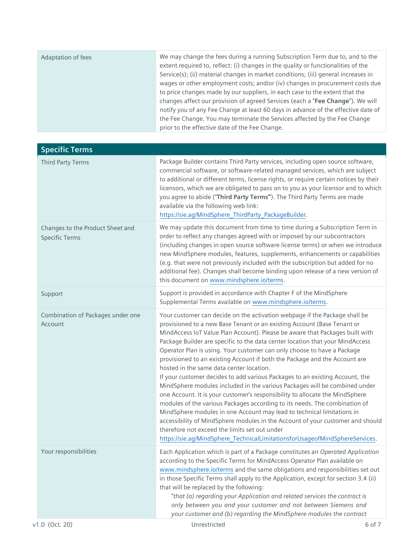| Adaptation of fees | We may change the fees during a running Subscription Term due to, and to the<br>extent required to, reflect: (i) changes in the quality or functionalities of the<br>Service(s); (ii) material changes in market conditions; (iii) general increases in |
|--------------------|---------------------------------------------------------------------------------------------------------------------------------------------------------------------------------------------------------------------------------------------------------|
|                    | wages or other employment costs; and/or (iv) changes in procurement costs due<br>to price changes made by our suppliers, in each case to the extent that the<br>changes affect our provision of agreed Services (each a "Fee Change"). We will          |
|                    | notify you of any Fee Change at least 60 days in advance of the effective date of<br>the Fee Change. You may terminate the Services affected by the Fee Change<br>prior to the effective date of the Fee Change.                                        |

| <b>Specific Terms</b>                                     |                                                                                                                                                                                                                                                                                                                                                                                                                                                                                                                                                                                                                                                                                                                                                                                                                                                                                                                                                                                                                                                                                                                                                     |
|-----------------------------------------------------------|-----------------------------------------------------------------------------------------------------------------------------------------------------------------------------------------------------------------------------------------------------------------------------------------------------------------------------------------------------------------------------------------------------------------------------------------------------------------------------------------------------------------------------------------------------------------------------------------------------------------------------------------------------------------------------------------------------------------------------------------------------------------------------------------------------------------------------------------------------------------------------------------------------------------------------------------------------------------------------------------------------------------------------------------------------------------------------------------------------------------------------------------------------|
| Third Party Terms                                         | Package Builder contains Third Party services, including open source software,<br>commercial software, or software-related managed services, which are subject<br>to additional or different terms, license rights, or require certain notices by their<br>licensors, which we are obligated to pass on to you as your licensor and to which<br>you agree to abide ("Third Party Terms"). The Third Party Terms are made<br>available via the following web link:<br>https://sie.ag/MindSphere_ThirdParty_PackageBuilder.                                                                                                                                                                                                                                                                                                                                                                                                                                                                                                                                                                                                                           |
| Changes to the Product Sheet and<br><b>Specific Terms</b> | We may update this document from time to time during a Subscription Term in<br>order to reflect any changes agreed with or imposed by our subcontractors<br>(including changes in open source software license terms) or when we introduce<br>new MindSphere modules, features, supplements, enhancements or capabilities<br>(e.g. that were not previously included with the subscription but added for no<br>additional fee). Changes shall become binding upon release of a new version of<br>this document on www.mindsphere.io/terms.                                                                                                                                                                                                                                                                                                                                                                                                                                                                                                                                                                                                          |
| Support                                                   | Support is provided in accordance with Chapter F of the MindSphere<br>Supplemental Terms available on www.mindsphere.io/terms.                                                                                                                                                                                                                                                                                                                                                                                                                                                                                                                                                                                                                                                                                                                                                                                                                                                                                                                                                                                                                      |
| Combination of Packages under one<br>Account              | Your customer can decide on the activation webpage if the Package shall be<br>provisioned to a new Base Tenant or an existing Account (Base Tenant or<br>MindAccess IoT Value Plan Account). Please be aware that Packages built with<br>Package Builder are specific to the data center location that your MindAccess<br>Operator Plan is using. Your customer can only choose to have a Package<br>provisioned to an existing Account if both the Package and the Account are<br>hosted in the same data center location.<br>If your customer decides to add various Packages to an existing Account, the<br>MindSphere modules included in the various Packages will be combined under<br>one Account. It is your customer's responsibility to allocate the MindSphere<br>modules of the various Packages according to its needs. The combination of<br>MindSphere modules in one Account may lead to technical limitations in<br>accessibility of MindSphere modules in the Account of your customer and should<br>therefore not exceed the limits set out under<br>https://sie.ag/MindSphere_TechnicalLimitationsforUsageofMindSphereServices. |
| Your responsibilities                                     | Each Application which is part of a Package constitutes an Operated Application<br>according to the Specific Terms for MindAccess Operator Plan available on<br>www.mindsphere.io/terms and the same obligations and responsibilities set out<br>in those Specific Terms shall apply to the Application, except for section 3.4 (ii)<br>that will be replaced by the following:<br>"that (a) regarding your Application and related services the contract is<br>only between you and your customer and not between Siemens and<br>your customer and (b) regarding the MindSphere modules the contract                                                                                                                                                                                                                                                                                                                                                                                                                                                                                                                                               |